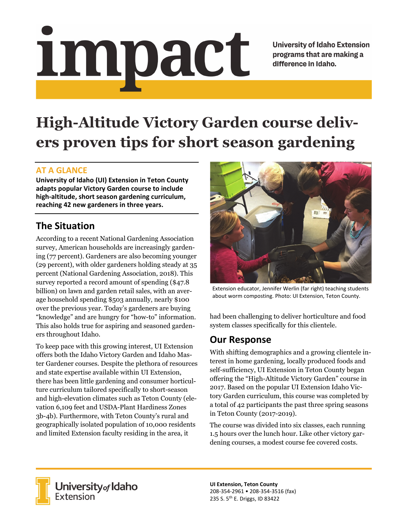# <u>impact</u>

**University of Idaho Extension** programs that are making a difference in Idaho.

# **High-Altitude Victory Garden course delivers proven tips for short season gardening**

### **AT A GLANCE**

**University of Idaho (UI) Extension in Teton County adapts popular Victory Garden course to include high‐altitude, short season gardening curriculum, reaching 42 new gardeners in three years.** 

# **The Situation**

According to a recent National Gardening Association survey, American households are increasingly gardening (77 percent). Gardeners are also becoming younger (29 percent), with older gardeners holding steady at 35 percent (National Gardening Association, 2018). This survey reported a record amount of spending (\$47.8 billion) on lawn and garden retail sales, with an average household spending \$503 annually, nearly \$100 over the previous year. Today's gardeners are buying "knowledge" and are hungry for "how-to" information. This also holds true for aspiring and seasoned gardeners throughout Idaho.

To keep pace with this growing interest, UI Extension offers both the Idaho Victory Garden and Idaho Master Gardener courses. Despite the plethora of resources and state expertise available within UI Extension, there has been little gardening and consumer horticulture curriculum tailored specifically to short-season and high-elevation climates such as Teton County (elevation 6,109 feet and USDA-Plant Hardiness Zones 3b-4b). Furthermore, with Teton County's rural and geographically isolated population of 10,000 residents and limited Extension faculty residing in the area, it



Extension educator, Jennifer Werlin (far right) teaching students about worm composting. Photo: UI Extension, Teton County.

had been challenging to deliver horticulture and food system classes specifically for this clientele.

### **Our Response**

With shifting demographics and a growing clientele interest in home gardening, locally produced foods and self-sufficiency, UI Extension in Teton County began offering the "High-Altitude Victory Garden" course in 2017. Based on the popular UI Extension Idaho Victory Garden curriculum, this course was completed by a total of 42 participants the past three spring seasons in Teton County (2017-2019).

The course was divided into six classes, each running 1.5 hours over the lunch hour. Like other victory gardening courses, a modest course fee covered costs.



**University<sub>of</sub> Idaho**<br>Extension

**UI Extension, Teton County**  208‐354‐2961 • 208‐354‐3516 (fax) 235 S. 5th E. Driggs, ID 83422